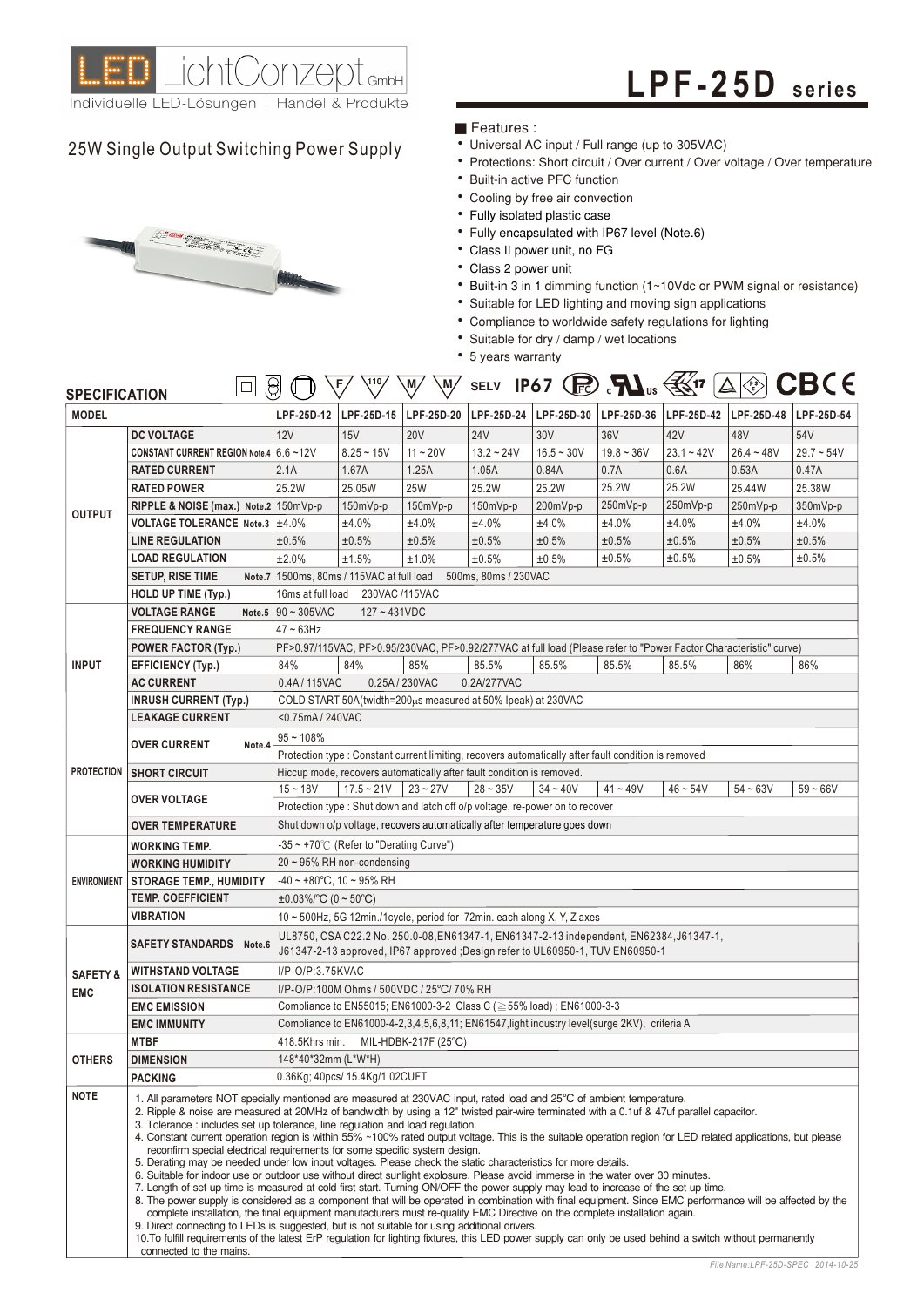

# **L PF - 2 5 D seri es**

## 25W Single Output Switching Power Supply • Universal AC input / Full range (up to 305VAC)



### Features :

- 
- Protections: Short circuit / Over current / Over voltage / Over temperature
- Built-in active PFC function
- Cooling by free air convection
- Fully isolated plastic case
- Fully encapsulated with IP67 level (Note.6)
- Class II power unit, no FG
- Class 2 power unit
- Built-in 3 in 1 dimming function (1~10Vdc or PWM signal or resistance)
- Suitable for LED lighting and moving sign applications
- Compliance to worldwide safety regulations for lighting
- Suitable for dry / damp / wet locations
- 5 years warranty

| <b>SPECIFICATION</b>                                                                                                                                                                  | β<br>$\Box$                                                                                                                                                                                                                                                                                                                                                                                                                                                                                                                                                                                                                                                                                                                                                                                                                                                                                                                                                                                                                                                                                                                                                                                                                                                                                                                                                                                                                                                                                                                                                                   |                                                                                                      | (110)<br>F                     | M,<br>M/                                                                                                                                                                  |                      |                         | SELV IP67 (R) $\sum$ $\sum$ $\sum$ $\sum$ $\sum$ $\frac{1}{2}$ |                                                                                                                   | $\Delta$ $\gg$ | <b>CBCE</b>  |  |  |  |  |
|---------------------------------------------------------------------------------------------------------------------------------------------------------------------------------------|-------------------------------------------------------------------------------------------------------------------------------------------------------------------------------------------------------------------------------------------------------------------------------------------------------------------------------------------------------------------------------------------------------------------------------------------------------------------------------------------------------------------------------------------------------------------------------------------------------------------------------------------------------------------------------------------------------------------------------------------------------------------------------------------------------------------------------------------------------------------------------------------------------------------------------------------------------------------------------------------------------------------------------------------------------------------------------------------------------------------------------------------------------------------------------------------------------------------------------------------------------------------------------------------------------------------------------------------------------------------------------------------------------------------------------------------------------------------------------------------------------------------------------------------------------------------------------|------------------------------------------------------------------------------------------------------|--------------------------------|---------------------------------------------------------------------------------------------------------------------------------------------------------------------------|----------------------|-------------------------|----------------------------------------------------------------|-------------------------------------------------------------------------------------------------------------------|----------------|--------------|--|--|--|--|
| <b>MODEL</b>                                                                                                                                                                          |                                                                                                                                                                                                                                                                                                                                                                                                                                                                                                                                                                                                                                                                                                                                                                                                                                                                                                                                                                                                                                                                                                                                                                                                                                                                                                                                                                                                                                                                                                                                                                               | LPF-25D-12                                                                                           | LPF-25D-15                     | LPF-25D-20                                                                                                                                                                | LPF-25D-24           | LPF-25D-30   LPF-25D-36 |                                                                | LPF-25D-42                                                                                                        | LPF-25D-48     | LPF-25D-54   |  |  |  |  |
|                                                                                                                                                                                       | <b>DC VOLTAGE</b>                                                                                                                                                                                                                                                                                                                                                                                                                                                                                                                                                                                                                                                                                                                                                                                                                                                                                                                                                                                                                                                                                                                                                                                                                                                                                                                                                                                                                                                                                                                                                             | 12V                                                                                                  | 15V                            | <b>20V</b>                                                                                                                                                                | <b>24V</b>           | 30V                     | 36V                                                            | 42V                                                                                                               | 48V            | 54V          |  |  |  |  |
|                                                                                                                                                                                       | CONSTANT CURRENT REGION Note.4 6.6~12V                                                                                                                                                                                                                                                                                                                                                                                                                                                                                                                                                                                                                                                                                                                                                                                                                                                                                                                                                                                                                                                                                                                                                                                                                                                                                                                                                                                                                                                                                                                                        |                                                                                                      | $8.25 - 15V$                   | $11 - 20V$                                                                                                                                                                | $13.2 - 24V$         | $16.5 - 30V$            | $19.8 - 36V$                                                   | $23.1 - 42V$                                                                                                      | $26.4 - 48V$   | $29.7 - 54V$ |  |  |  |  |
|                                                                                                                                                                                       | <b>RATED CURRENT</b>                                                                                                                                                                                                                                                                                                                                                                                                                                                                                                                                                                                                                                                                                                                                                                                                                                                                                                                                                                                                                                                                                                                                                                                                                                                                                                                                                                                                                                                                                                                                                          | 2.1A                                                                                                 | 1.67A                          | 1.25A                                                                                                                                                                     | 1.05A                | 0.84A                   | 0.7A                                                           | 0.6A                                                                                                              | 0.53A          | 0.47A        |  |  |  |  |
|                                                                                                                                                                                       | <b>RATED POWER</b>                                                                                                                                                                                                                                                                                                                                                                                                                                                                                                                                                                                                                                                                                                                                                                                                                                                                                                                                                                                                                                                                                                                                                                                                                                                                                                                                                                                                                                                                                                                                                            | 25.2W                                                                                                | 25.05W                         | <b>25W</b>                                                                                                                                                                | 25.2W                | 25.2W                   | 25.2W                                                          | 25.2W                                                                                                             | 25.44W         | 25.38W       |  |  |  |  |
| <b>OUTPUT</b>                                                                                                                                                                         | RIPPLE & NOISE (max.) Note.2 150mVp-p                                                                                                                                                                                                                                                                                                                                                                                                                                                                                                                                                                                                                                                                                                                                                                                                                                                                                                                                                                                                                                                                                                                                                                                                                                                                                                                                                                                                                                                                                                                                         |                                                                                                      | 150mVp-p                       | $150mVp-p$                                                                                                                                                                | $150mVp-p$           | 200mVp-p                | 250mVp-p                                                       | 250mVp-p                                                                                                          | 250mVp-p       | 350mVp-p     |  |  |  |  |
|                                                                                                                                                                                       | VOLTAGE TOLERANCE Note.3 ±4.0%                                                                                                                                                                                                                                                                                                                                                                                                                                                                                                                                                                                                                                                                                                                                                                                                                                                                                                                                                                                                                                                                                                                                                                                                                                                                                                                                                                                                                                                                                                                                                |                                                                                                      | ±4.0%                          | ±4.0%                                                                                                                                                                     | ±4.0%                | ±4.0%                   | ±4.0%                                                          | ±4.0%                                                                                                             | ±4.0%          | ±4.0%        |  |  |  |  |
|                                                                                                                                                                                       | <b>LINE REGULATION</b>                                                                                                                                                                                                                                                                                                                                                                                                                                                                                                                                                                                                                                                                                                                                                                                                                                                                                                                                                                                                                                                                                                                                                                                                                                                                                                                                                                                                                                                                                                                                                        | ±0.5%                                                                                                | ±0.5%                          | ±0.5%                                                                                                                                                                     | ±0.5%                | ±0.5%                   | ±0.5%                                                          | ±0.5%                                                                                                             | ±0.5%          | ±0.5%        |  |  |  |  |
|                                                                                                                                                                                       | <b>LOAD REGULATION</b>                                                                                                                                                                                                                                                                                                                                                                                                                                                                                                                                                                                                                                                                                                                                                                                                                                                                                                                                                                                                                                                                                                                                                                                                                                                                                                                                                                                                                                                                                                                                                        | ±2.0%                                                                                                | ±1.5%                          | ±1.0%                                                                                                                                                                     | ±0.5%                | ±0.5%                   | ±0.5%                                                          | ±0.5%                                                                                                             | ±0.5%          | ±0.5%        |  |  |  |  |
|                                                                                                                                                                                       | <b>SETUP, RISE TIME</b>                                                                                                                                                                                                                                                                                                                                                                                                                                                                                                                                                                                                                                                                                                                                                                                                                                                                                                                                                                                                                                                                                                                                                                                                                                                                                                                                                                                                                                                                                                                                                       | Note.7   1500ms, 80ms / 115VAC at full load                                                          |                                |                                                                                                                                                                           | 500ms, 80ms / 230VAC |                         |                                                                |                                                                                                                   |                |              |  |  |  |  |
|                                                                                                                                                                                       | <b>HOLD UP TIME (Typ.)</b>                                                                                                                                                                                                                                                                                                                                                                                                                                                                                                                                                                                                                                                                                                                                                                                                                                                                                                                                                                                                                                                                                                                                                                                                                                                                                                                                                                                                                                                                                                                                                    | 16ms at full load 230VAC /115VAC                                                                     |                                |                                                                                                                                                                           |                      |                         |                                                                |                                                                                                                   |                |              |  |  |  |  |
|                                                                                                                                                                                       | <b>VOLTAGE RANGE</b>                                                                                                                                                                                                                                                                                                                                                                                                                                                                                                                                                                                                                                                                                                                                                                                                                                                                                                                                                                                                                                                                                                                                                                                                                                                                                                                                                                                                                                                                                                                                                          | Note.5 $90 \sim 305$ VAC                                                                             | $127 - 431VDC$                 |                                                                                                                                                                           |                      |                         |                                                                |                                                                                                                   |                |              |  |  |  |  |
|                                                                                                                                                                                       | <b>FREQUENCY RANGE</b>                                                                                                                                                                                                                                                                                                                                                                                                                                                                                                                                                                                                                                                                                                                                                                                                                                                                                                                                                                                                                                                                                                                                                                                                                                                                                                                                                                                                                                                                                                                                                        | $47 \sim 63$ Hz                                                                                      |                                |                                                                                                                                                                           |                      |                         |                                                                |                                                                                                                   |                |              |  |  |  |  |
|                                                                                                                                                                                       | <b>POWER FACTOR (Typ.)</b>                                                                                                                                                                                                                                                                                                                                                                                                                                                                                                                                                                                                                                                                                                                                                                                                                                                                                                                                                                                                                                                                                                                                                                                                                                                                                                                                                                                                                                                                                                                                                    |                                                                                                      |                                |                                                                                                                                                                           |                      |                         |                                                                | PF>0.97/115VAC, PF>0.95/230VAC, PF>0.92/277VAC at full load (Please refer to "Power Factor Characteristic" curve) |                |              |  |  |  |  |
| <b>INPUT</b>                                                                                                                                                                          | <b>EFFICIENCY (Typ.)</b>                                                                                                                                                                                                                                                                                                                                                                                                                                                                                                                                                                                                                                                                                                                                                                                                                                                                                                                                                                                                                                                                                                                                                                                                                                                                                                                                                                                                                                                                                                                                                      | 84%                                                                                                  | 84%                            | 85%                                                                                                                                                                       | 85.5%                | 85.5%                   | 85.5%                                                          | 85.5%                                                                                                             | 86%            | 86%          |  |  |  |  |
|                                                                                                                                                                                       | <b>AC CURRENT</b>                                                                                                                                                                                                                                                                                                                                                                                                                                                                                                                                                                                                                                                                                                                                                                                                                                                                                                                                                                                                                                                                                                                                                                                                                                                                                                                                                                                                                                                                                                                                                             | 0.4A/115VAC<br>0.25A / 230VAC<br>0.2A/277VAC                                                         |                                |                                                                                                                                                                           |                      |                         |                                                                |                                                                                                                   |                |              |  |  |  |  |
|                                                                                                                                                                                       | <b>INRUSH CURRENT (Typ.)</b>                                                                                                                                                                                                                                                                                                                                                                                                                                                                                                                                                                                                                                                                                                                                                                                                                                                                                                                                                                                                                                                                                                                                                                                                                                                                                                                                                                                                                                                                                                                                                  | COLD START 50A(twidth=200µs measured at 50% Ipeak) at 230VAC                                         |                                |                                                                                                                                                                           |                      |                         |                                                                |                                                                                                                   |                |              |  |  |  |  |
|                                                                                                                                                                                       | <b>LEAKAGE CURRENT</b>                                                                                                                                                                                                                                                                                                                                                                                                                                                                                                                                                                                                                                                                                                                                                                                                                                                                                                                                                                                                                                                                                                                                                                                                                                                                                                                                                                                                                                                                                                                                                        | <0.75mA / 240VAC                                                                                     |                                |                                                                                                                                                                           |                      |                         |                                                                |                                                                                                                   |                |              |  |  |  |  |
| <b>PROTECTION</b>                                                                                                                                                                     | <b>OVER CURRENT</b><br>Note.4                                                                                                                                                                                                                                                                                                                                                                                                                                                                                                                                                                                                                                                                                                                                                                                                                                                                                                                                                                                                                                                                                                                                                                                                                                                                                                                                                                                                                                                                                                                                                 | $95 - 108%$                                                                                          |                                |                                                                                                                                                                           |                      |                         |                                                                |                                                                                                                   |                |              |  |  |  |  |
|                                                                                                                                                                                       |                                                                                                                                                                                                                                                                                                                                                                                                                                                                                                                                                                                                                                                                                                                                                                                                                                                                                                                                                                                                                                                                                                                                                                                                                                                                                                                                                                                                                                                                                                                                                                               | Protection type : Constant current limiting, recovers automatically after fault condition is removed |                                |                                                                                                                                                                           |                      |                         |                                                                |                                                                                                                   |                |              |  |  |  |  |
|                                                                                                                                                                                       | <b>SHORT CIRCUIT</b>                                                                                                                                                                                                                                                                                                                                                                                                                                                                                                                                                                                                                                                                                                                                                                                                                                                                                                                                                                                                                                                                                                                                                                                                                                                                                                                                                                                                                                                                                                                                                          |                                                                                                      |                                | Hiccup mode, recovers automatically after fault condition is removed.                                                                                                     |                      |                         |                                                                |                                                                                                                   |                |              |  |  |  |  |
|                                                                                                                                                                                       | <b>OVER VOLTAGE</b>                                                                                                                                                                                                                                                                                                                                                                                                                                                                                                                                                                                                                                                                                                                                                                                                                                                                                                                                                                                                                                                                                                                                                                                                                                                                                                                                                                                                                                                                                                                                                           | $15 - 18V$                                                                                           | $17.5 - 21V$                   | $23 - 27V$                                                                                                                                                                | $28 - 35V$           | $34 - 40V$              | $41 - 49V$                                                     | $46 - 54V$                                                                                                        | $54 - 63V$     | $59 - 66V$   |  |  |  |  |
| Protection type : Shut down and latch off o/p voltage, re-power on to recover<br>Shut down o/p voltage, recovers automatically after temperature goes down<br><b>OVER TEMPERATURE</b> |                                                                                                                                                                                                                                                                                                                                                                                                                                                                                                                                                                                                                                                                                                                                                                                                                                                                                                                                                                                                                                                                                                                                                                                                                                                                                                                                                                                                                                                                                                                                                                               |                                                                                                      |                                |                                                                                                                                                                           |                      |                         |                                                                |                                                                                                                   |                |              |  |  |  |  |
|                                                                                                                                                                                       | <b>WORKING TEMP.</b>                                                                                                                                                                                                                                                                                                                                                                                                                                                                                                                                                                                                                                                                                                                                                                                                                                                                                                                                                                                                                                                                                                                                                                                                                                                                                                                                                                                                                                                                                                                                                          | $-35 \sim +70^{\circ}$ (Refer to "Derating Curve")                                                   |                                |                                                                                                                                                                           |                      |                         |                                                                |                                                                                                                   |                |              |  |  |  |  |
|                                                                                                                                                                                       | <b>WORKING HUMIDITY</b>                                                                                                                                                                                                                                                                                                                                                                                                                                                                                                                                                                                                                                                                                                                                                                                                                                                                                                                                                                                                                                                                                                                                                                                                                                                                                                                                                                                                                                                                                                                                                       | $20 \sim 95\%$ RH non-condensing                                                                     |                                |                                                                                                                                                                           |                      |                         |                                                                |                                                                                                                   |                |              |  |  |  |  |
| <b>ENVIRONMENT</b>                                                                                                                                                                    | STORAGE TEMP., HUMIDITY                                                                                                                                                                                                                                                                                                                                                                                                                                                                                                                                                                                                                                                                                                                                                                                                                                                                                                                                                                                                                                                                                                                                                                                                                                                                                                                                                                                                                                                                                                                                                       | $-40 \sim +80^{\circ}$ C, 10 ~ 95% RH                                                                |                                |                                                                                                                                                                           |                      |                         |                                                                |                                                                                                                   |                |              |  |  |  |  |
|                                                                                                                                                                                       | <b>TEMP. COEFFICIENT</b>                                                                                                                                                                                                                                                                                                                                                                                                                                                                                                                                                                                                                                                                                                                                                                                                                                                                                                                                                                                                                                                                                                                                                                                                                                                                                                                                                                                                                                                                                                                                                      | $\pm 0.03\%$ /°C (0 ~ 50°C)                                                                          |                                |                                                                                                                                                                           |                      |                         |                                                                |                                                                                                                   |                |              |  |  |  |  |
|                                                                                                                                                                                       | <b>VIBRATION</b>                                                                                                                                                                                                                                                                                                                                                                                                                                                                                                                                                                                                                                                                                                                                                                                                                                                                                                                                                                                                                                                                                                                                                                                                                                                                                                                                                                                                                                                                                                                                                              |                                                                                                      |                                | $10 \sim 500$ Hz, 5G 12min./1cycle, period for 72min. each along X, Y, Z axes                                                                                             |                      |                         |                                                                |                                                                                                                   |                |              |  |  |  |  |
|                                                                                                                                                                                       | <b>SAFETY STANDARDS</b> Note.6                                                                                                                                                                                                                                                                                                                                                                                                                                                                                                                                                                                                                                                                                                                                                                                                                                                                                                                                                                                                                                                                                                                                                                                                                                                                                                                                                                                                                                                                                                                                                |                                                                                                      |                                | UL8750, CSA C22.2 No. 250.0-08, EN61347-1, EN61347-2-13 independent, EN62384, J61347-1,<br>J61347-2-13 approved, IP67 approved ; Design refer to UL60950-1, TUV EN60950-1 |                      |                         |                                                                |                                                                                                                   |                |              |  |  |  |  |
| <b>SAFETY &amp;</b>                                                                                                                                                                   | <b>WITHSTAND VOLTAGE</b>                                                                                                                                                                                                                                                                                                                                                                                                                                                                                                                                                                                                                                                                                                                                                                                                                                                                                                                                                                                                                                                                                                                                                                                                                                                                                                                                                                                                                                                                                                                                                      | I/P-O/P:3.75KVAC                                                                                     |                                |                                                                                                                                                                           |                      |                         |                                                                |                                                                                                                   |                |              |  |  |  |  |
| <b>EMC</b>                                                                                                                                                                            | <b>ISOLATION RESISTANCE</b>                                                                                                                                                                                                                                                                                                                                                                                                                                                                                                                                                                                                                                                                                                                                                                                                                                                                                                                                                                                                                                                                                                                                                                                                                                                                                                                                                                                                                                                                                                                                                   |                                                                                                      |                                | I/P-O/P:100M Ohms / 500VDC / 25°C/ 70% RH                                                                                                                                 |                      |                         |                                                                |                                                                                                                   |                |              |  |  |  |  |
|                                                                                                                                                                                       | <b>EMC EMISSION</b>                                                                                                                                                                                                                                                                                                                                                                                                                                                                                                                                                                                                                                                                                                                                                                                                                                                                                                                                                                                                                                                                                                                                                                                                                                                                                                                                                                                                                                                                                                                                                           |                                                                                                      |                                | Compliance to EN55015; EN61000-3-2 Class C (≥55% load); EN61000-3-3                                                                                                       |                      |                         |                                                                |                                                                                                                   |                |              |  |  |  |  |
|                                                                                                                                                                                       | <b>EMC IMMUNITY</b>                                                                                                                                                                                                                                                                                                                                                                                                                                                                                                                                                                                                                                                                                                                                                                                                                                                                                                                                                                                                                                                                                                                                                                                                                                                                                                                                                                                                                                                                                                                                                           |                                                                                                      |                                | Compliance to EN61000-4-2,3,4,5,6,8,11; EN61547, light industry level(surge 2KV), criteria A                                                                              |                      |                         |                                                                |                                                                                                                   |                |              |  |  |  |  |
|                                                                                                                                                                                       | <b>MTBF</b>                                                                                                                                                                                                                                                                                                                                                                                                                                                                                                                                                                                                                                                                                                                                                                                                                                                                                                                                                                                                                                                                                                                                                                                                                                                                                                                                                                                                                                                                                                                                                                   | 418.5Khrs min.                                                                                       |                                | MIL-HDBK-217F (25°C)                                                                                                                                                      |                      |                         |                                                                |                                                                                                                   |                |              |  |  |  |  |
| <b>OTHERS</b>                                                                                                                                                                         | <b>DIMENSION</b>                                                                                                                                                                                                                                                                                                                                                                                                                                                                                                                                                                                                                                                                                                                                                                                                                                                                                                                                                                                                                                                                                                                                                                                                                                                                                                                                                                                                                                                                                                                                                              | 148*40*32mm (L*W*H)                                                                                  |                                |                                                                                                                                                                           |                      |                         |                                                                |                                                                                                                   |                |              |  |  |  |  |
|                                                                                                                                                                                       | <b>PACKING</b>                                                                                                                                                                                                                                                                                                                                                                                                                                                                                                                                                                                                                                                                                                                                                                                                                                                                                                                                                                                                                                                                                                                                                                                                                                                                                                                                                                                                                                                                                                                                                                |                                                                                                      | 0.36Kg; 40pcs/ 15.4Kg/1.02CUFT |                                                                                                                                                                           |                      |                         |                                                                |                                                                                                                   |                |              |  |  |  |  |
| <b>NOTE</b>                                                                                                                                                                           | 1. All parameters NOT specially mentioned are measured at 230VAC input, rated load and 25°C of ambient temperature.<br>2. Ripple & noise are measured at 20MHz of bandwidth by using a 12" twisted pair-wire terminated with a 0.1uf & 47uf parallel capacitor.<br>3. Tolerance: includes set up tolerance, line regulation and load regulation.<br>4. Constant current operation region is within 55% ~100% rated output voltage. This is the suitable operation region for LED related applications, but please<br>reconfirm special electrical requirements for some specific system design.<br>5. Derating may be needed under low input voltages. Please check the static characteristics for more details.<br>6. Suitable for indoor use or outdoor use without direct sunlight explosure. Please avoid immerse in the water over 30 minutes.<br>7. Length of set up time is measured at cold first start. Turning ON/OFF the power supply may lead to increase of the set up time.<br>8. The power supply is considered as a component that will be operated in combination with final equipment. Since EMC performance will be affected by the<br>complete installation, the final equipment manufacturers must re-qualify EMC Directive on the complete installation again.<br>9. Direct connecting to LEDs is suggested, but is not suitable for using additional drivers.<br>10. To fulfill requirements of the latest ErP regulation for lighting fixtures, this LED power supply can only be used behind a switch without permanently<br>connected to the mains. |                                                                                                      |                                |                                                                                                                                                                           |                      |                         |                                                                |                                                                                                                   |                |              |  |  |  |  |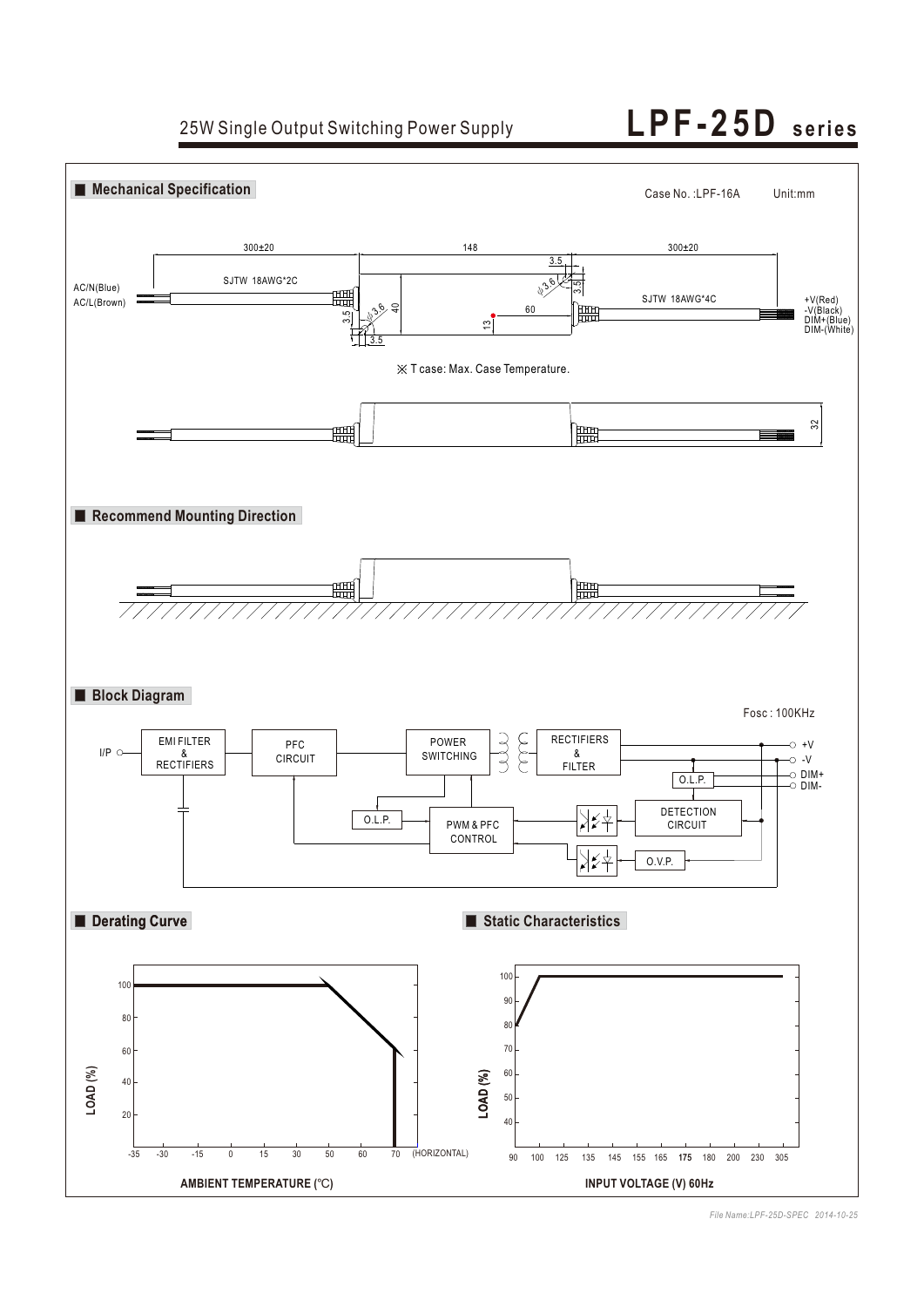25W Single Output Switching Power Supply **L PF - 2 5 D seri es**



*File Name:LPF-25D-SPEC 2014-10-25*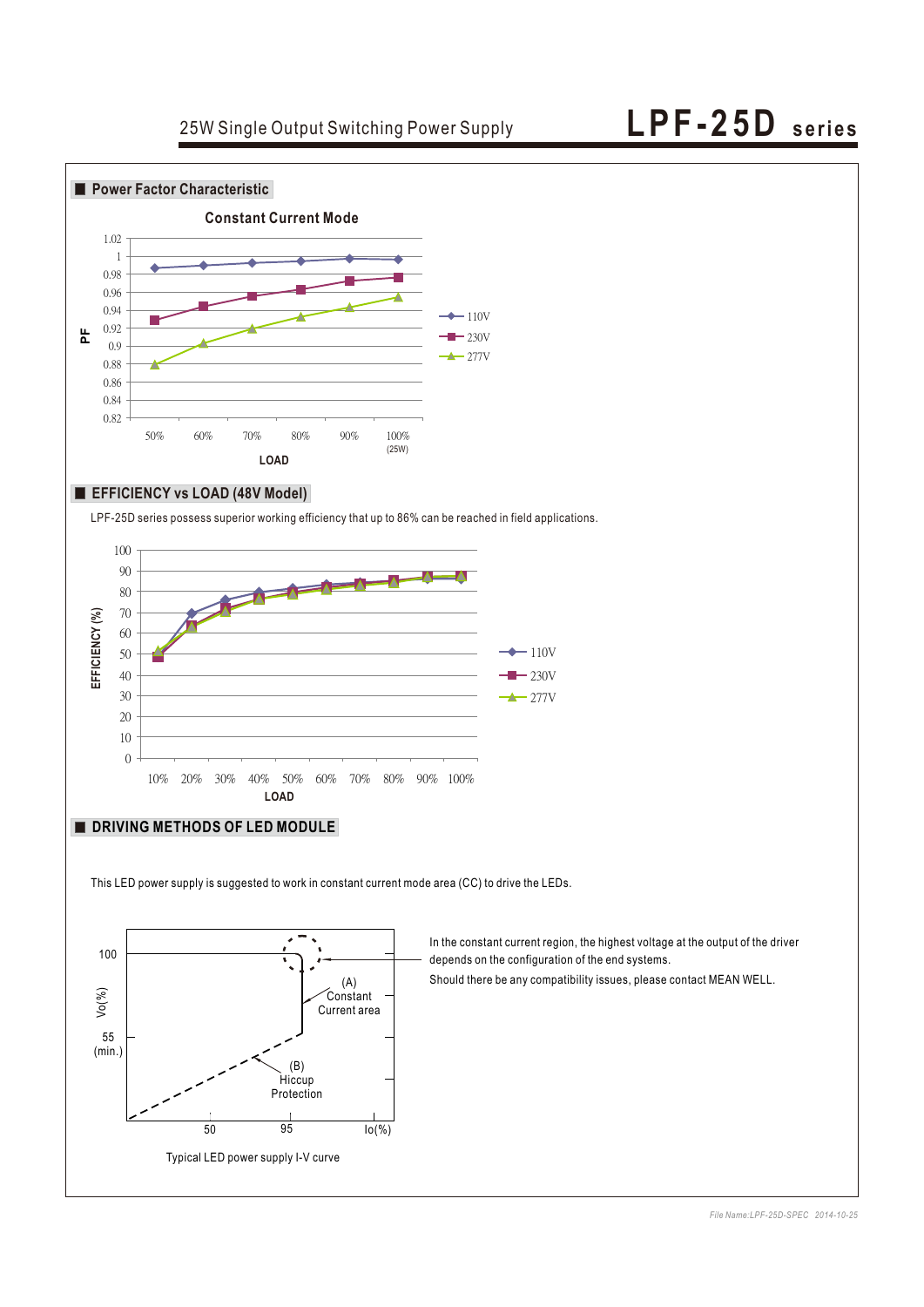## 25W Single Output Switching Power Supply **L PF - 2 5 D seri es**



### **EFFICIENCY vs LOAD (48V Model)**

LPF-25D series possess superior working efficiency that up to 86% can be reached in field applications.



### **DRIVING METHODS OF LED MODULE**

This LED power supply is suggested to work in constant current mode area (CC) to drive the LEDs.



In the constant current region, the highest voltage at the output of the driver depends on the configuration of the end systems.

Should there be any compatibility issues, please contact MEAN WELL.